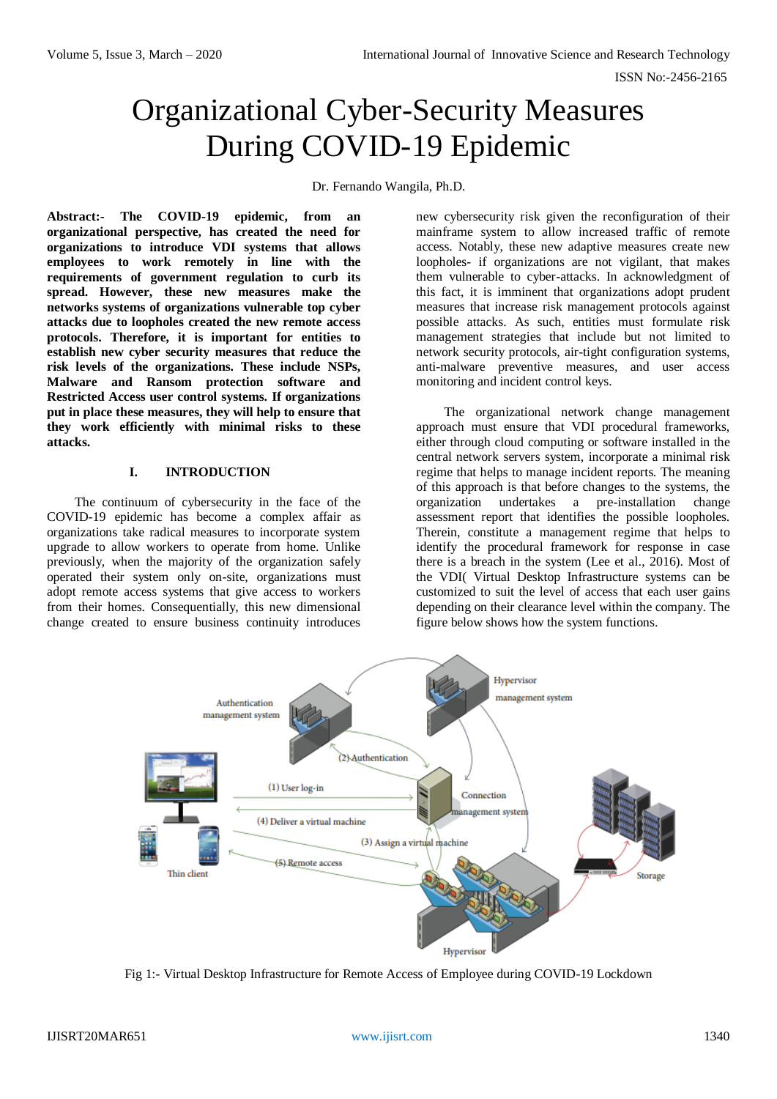ISSN No:-2456-2165

## Organizational Cyber-Security Measures During COVID-19 Epidemic

Dr. Fernando Wangila, Ph.D.

**Abstract:- The COVID-19 epidemic, from an organizational perspective, has created the need for organizations to introduce VDI systems that allows employees to work remotely in line with the requirements of government regulation to curb its spread. However, these new measures make the networks systems of organizations vulnerable top cyber attacks due to loopholes created the new remote access protocols. Therefore, it is important for entities to establish new cyber security measures that reduce the risk levels of the organizations. These include NSPs, Malware and Ransom protection software and Restricted Access user control systems. If organizations put in place these measures, they will help to ensure that they work efficiently with minimal risks to these attacks.** 

## **I. INTRODUCTION**

The continuum of cybersecurity in the face of the COVID-19 epidemic has become a complex affair as organizations take radical measures to incorporate system upgrade to allow workers to operate from home. Unlike previously, when the majority of the organization safely operated their system only on-site, organizations must adopt remote access systems that give access to workers from their homes. Consequentially, this new dimensional change created to ensure business continuity introduces

new cybersecurity risk given the reconfiguration of their mainframe system to allow increased traffic of remote access. Notably, these new adaptive measures create new loopholes- if organizations are not vigilant, that makes them vulnerable to cyber-attacks. In acknowledgment of this fact, it is imminent that organizations adopt prudent measures that increase risk management protocols against possible attacks. As such, entities must formulate risk management strategies that include but not limited to network security protocols, air-tight configuration systems, anti-malware preventive measures, and user access monitoring and incident control keys.

The organizational network change management approach must ensure that VDI procedural frameworks, either through cloud computing or software installed in the central network servers system, incorporate a minimal risk regime that helps to manage incident reports. The meaning of this approach is that before changes to the systems, the organization undertakes a pre-installation change assessment report that identifies the possible loopholes. Therein, constitute a management regime that helps to identify the procedural framework for response in case there is a breach in the system (Lee et al., 2016). Most of the VDI( Virtual Desktop Infrastructure systems can be customized to suit the level of access that each user gains depending on their clearance level within the company. The figure below shows how the system functions.



Fig 1:- Virtual Desktop Infrastructure for Remote Access of Employee during COVID-19 Lockdown